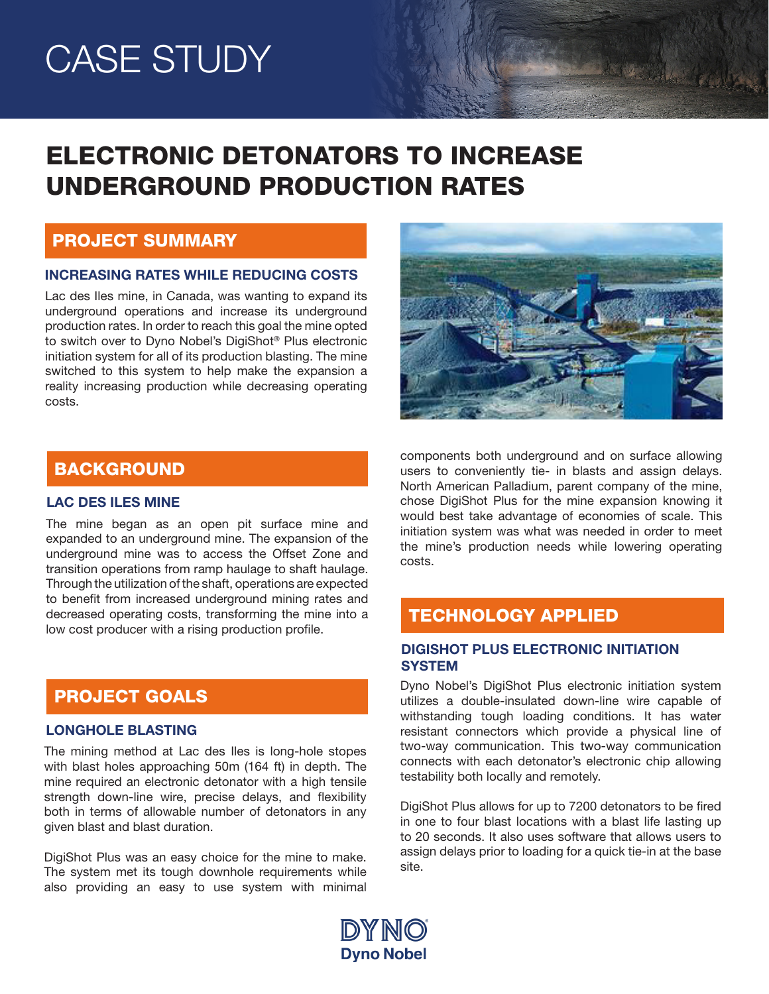# CASE STUDY

# ELECTRONIC DETONATORS TO INCREASE UNDERGROUND PRODUCTION RATES

### PROJECT SUMMARY

#### INCREASING RATES WHILE REDUCING COSTS

Lac des Iles mine, in Canada, was wanting to expand its underground operations and increase its underground production rates. In order to reach this goal the mine opted to switch over to Dyno Nobel's DigiShot® Plus electronic initiation system for all of its production blasting. The mine switched to this system to help make the expansion a reality increasing production while decreasing operating costs.

### BACKGROUND

#### LAC DES ILES MINE

The mine began as an open pit surface mine and expanded to an underground mine. The expansion of the underground mine was to access the Offset Zone and transition operations from ramp haulage to shaft haulage. Through the utilization of the shaft, operations are expected to benefit from increased underground mining rates and decreased operating costs, transforming the mine into a low cost producer with a rising production profile.

## PROJECT GOALS

#### LONGHOLE BLASTING

The mining method at Lac des Iles is long-hole stopes with blast holes approaching 50m (164 ft) in depth. The mine required an electronic detonator with a high tensile strength down-line wire, precise delays, and flexibility both in terms of allowable number of detonators in any given blast and blast duration.

DigiShot Plus was an easy choice for the mine to make. The system met its tough downhole requirements while also providing an easy to use system with minimal



Maria Cand

components both underground and on surface allowing users to conveniently tie- in blasts and assign delays. North American Palladium, parent company of the mine, chose DigiShot Plus for the mine expansion knowing it would best take advantage of economies of scale. This initiation system was what was needed in order to meet the mine's production needs while lowering operating costs.

# TECHNOLOGY APPLIED

#### DIGISHOT PLUS ELECTRONIC INITIATION **SYSTEM**

Dyno Nobel's DigiShot Plus electronic initiation system utilizes a double-insulated down-line wire capable of withstanding tough loading conditions. It has water resistant connectors which provide a physical line of two-way communication. This two-way communication connects with each detonator's electronic chip allowing testability both locally and remotely.

DigiShot Plus allows for up to 7200 detonators to be fired in one to four blast locations with a blast life lasting up to 20 seconds. It also uses software that allows users to assign delays prior to loading for a quick tie-in at the base site.